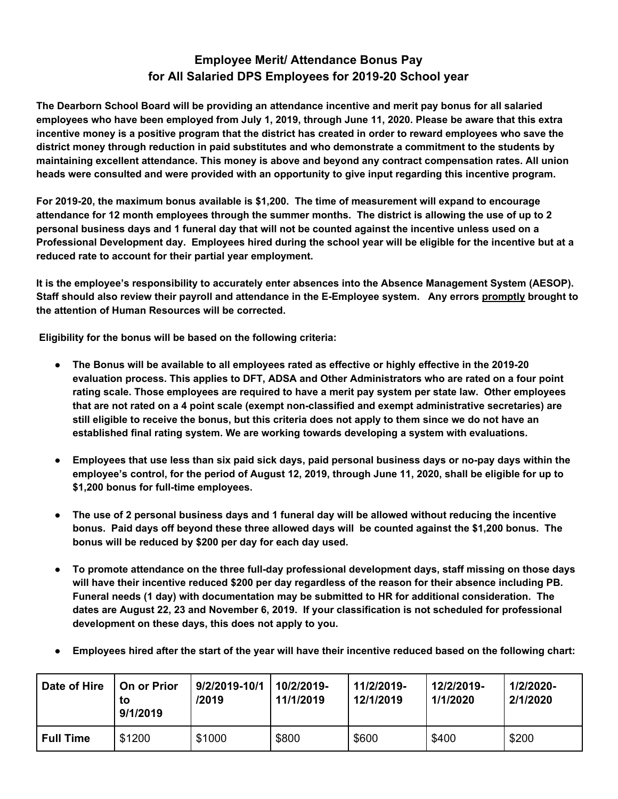## **Employee Merit/ Attendance Bonus Pay for All Salaried DPS Employees for 2019-20 School year**

**The Dearborn School Board will be providing an attendance incentive and merit pay bonus for all salaried** employees who have been employed from July 1, 2019, through June 11, 2020. Please be aware that this extra incentive money is a positive program that the district has created in order to reward employees who save the **district money through reduction in paid substitutes and who demonstrate a commitment to the students by maintaining excellent attendance. This money is above and beyond any contract compensation rates. All union heads were consulted and were provided with an opportunity to give input regarding this incentive program.**

**For 2019-20, the maximum bonus available is \$1,200. The time of measurement will expand to encourage** attendance for 12 month employees through the summer months. The district is allowing the use of up to 2 personal business days and 1 funeral day that will not be counted against the incentive unless used on a Professional Development day. Employees hired during the school year will be eligible for the incentive but at a **reduced rate to account for their partial year employment.**

**It is the employee's responsibility to accurately enter absences into the Absence Management System (AESOP).** Staff should also review their payroll and attendance in the E-Employee system. Any errors promptly brought to **the attention of Human Resources will be corrected.**

**Eligibility for the bonus will be based on the following criteria:**

- The Bonus will be available to all employees rated as effective or highly effective in the 2019-20 **evaluation process. This applies to DFT, ADSA and Other Administrators who are rated on a four point rating scale. Those employees are required to have a merit pay system per state law. Other employees that are not rated on a 4 point scale (exempt non-classified and exempt administrative secretaries) are** still eligible to receive the bonus, but this criteria does not apply to them since we do not have an **established final rating system. We are working towards developing a system with evaluations.**
- Employees that use less than six paid sick days, paid personal business days or no-pay days within the employee's control, for the period of August 12, 2019, through June 11, 2020, shall be eligible for up to **\$1,200 bonus for full-time employees.**
- The use of 2 personal business days and 1 funeral day will be allowed without reducing the incentive **bonus. Paid days off beyond these three allowed days will be counted against the \$1,200 bonus. The bonus will be reduced by \$200 per day for each day used.**
- **● To promote attendance on the three full-day professional development days, staff missing on those days will have their incentive reduced \$200 per day regardless of the reason for their absence including PB. Funeral needs (1 day) with documentation may be submitted to HR for additional consideration. The dates are August 22, 23 and November 6, 2019. If your classification is not scheduled for professional development on these days, this does not apply to you.**
- Employees hired after the start of the year will have their incentive reduced based on the following chart:

| Date of Hire     | <b>On or Prior</b><br>tο<br>9/1/2019 | 9/2/2019-10/1<br>/2019 | 10/2/2019-<br>11/1/2019 | 11/2/2019-<br>12/1/2019 | 12/2/2019-<br>1/1/2020 | 1/2/2020-<br>2/1/2020 |
|------------------|--------------------------------------|------------------------|-------------------------|-------------------------|------------------------|-----------------------|
| <b>Full Time</b> | \$1200                               | \$1000                 | \$800                   | \$600                   | \$400                  | \$200                 |